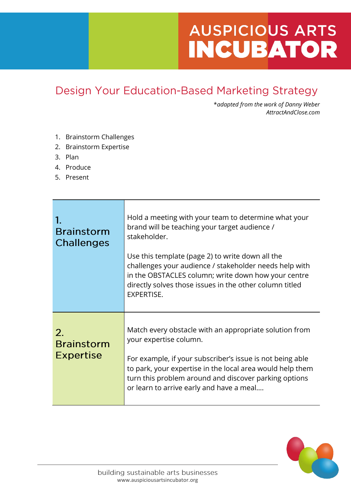## **AUSPICIOUS ARTS INCUBATOR**

## Design Your Education-Based Marketing Strategy

\**adapted from the work of Danny Weber AttractAndClose.com*

- 1. Brainstorm Challenges
- 2. Brainstorm Expertise
- 3. Plan
- 4. Produce
- 5. Present

| <b>Brainstorm</b><br><b>Challenges</b>           | Hold a meeting with your team to determine what your<br>brand will be teaching your target audience /<br>stakeholder.<br>Use this template (page 2) to write down all the<br>challenges your audience / stakeholder needs help with<br>in the OBSTACLES column; write down how your centre<br>directly solves those issues in the other column titled<br><b>EXPERTISE.</b> |
|--------------------------------------------------|----------------------------------------------------------------------------------------------------------------------------------------------------------------------------------------------------------------------------------------------------------------------------------------------------------------------------------------------------------------------------|
| $2_{-}$<br><b>Brainstorm</b><br><b>Expertise</b> | Match every obstacle with an appropriate solution from<br>your expertise column.<br>For example, if your subscriber's issue is not being able<br>to park, your expertise in the local area would help them<br>turn this problem around and discover parking options<br>or learn to arrive early and have a meal                                                            |

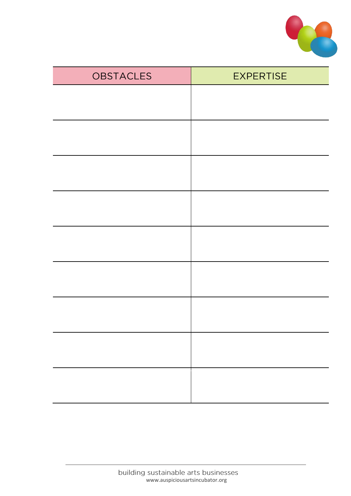

| <b>OBSTACLES</b> | <b>EXPERTISE</b> |
|------------------|------------------|
|                  |                  |
|                  |                  |
|                  |                  |
|                  |                  |
|                  |                  |
|                  |                  |
|                  |                  |
|                  |                  |
|                  |                  |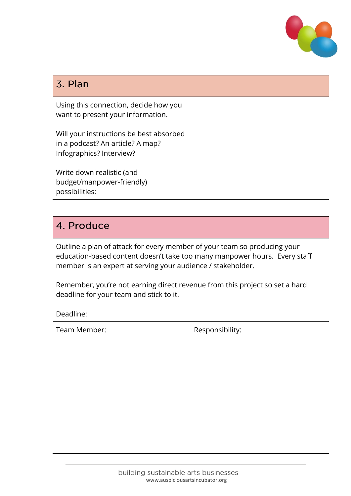

## 3. Plan

Using this connection, decide how you want to present your information.

Will your instructions be best absorbed in a podcast? An article? A map? Infographics? Interview?

Write down realistic (and budget/manpower-friendly) possibilities:

## 4. Produce

Outline a plan of attack for every member of your team so producing your education-based content doesn't take too many manpower hours. Every staff member is an expert at serving your audience / stakeholder.

Remember, you're not earning direct revenue from this project so set a hard deadline for your team and stick to it.

Deadline:

| Team Member: | Responsibility: |
|--------------|-----------------|
|              |                 |
|              |                 |
|              |                 |
|              |                 |
|              |                 |
|              |                 |
|              |                 |